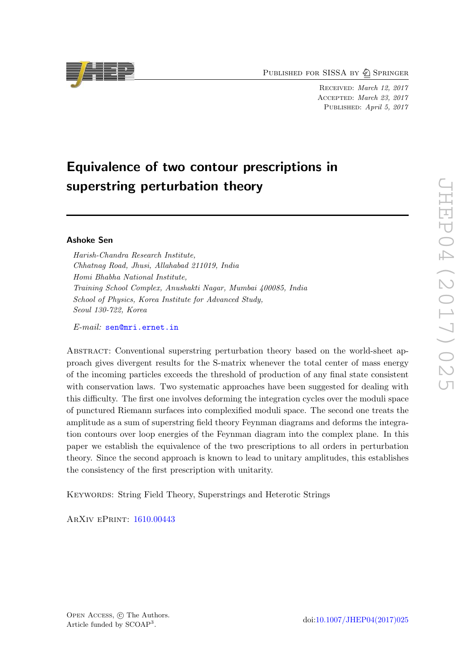PUBLISHED FOR SISSA BY  $\bigcircled{2}$  Springer

Received: March 12, 2017 Accepted: March 23, 2017 PUBLISHED: April 5, 2017

# Equivalence of two contour prescriptions in superstring perturbation theory

## Ashoke Sen

Harish-Chandra Research Institute, Chhatnag Road, Jhusi, Allahabad 211019, India Homi Bhabha National Institute, Training School Complex, Anushakti Nagar, Mumbai 400085, India School of Physics, Korea Institute for Advanced Study, Seoul 130-722, Korea

E-mail: [sen@mri.ernet.in](mailto:sen@mri.ernet.in)

Abstract: Conventional superstring perturbation theory based on the world-sheet approach gives divergent results for the S-matrix whenever the total center of mass energy of the incoming particles exceeds the threshold of production of any final state consistent with conservation laws. Two systematic approaches have been suggested for dealing with this difficulty. The first one involves deforming the integration cycles over the moduli space of punctured Riemann surfaces into complexified moduli space. The second one treats the amplitude as a sum of superstring field theory Feynman diagrams and deforms the integration contours over loop energies of the Feynman diagram into the complex plane. In this paper we establish the equivalence of the two prescriptions to all orders in perturbation theory. Since the second approach is known to lead to unitary amplitudes, this establishes the consistency of the first prescription with unitarity.

KEYWORDS: String Field Theory, Superstrings and Heterotic Strings

ArXiv ePrint: [1610.00443](https://arxiv.org/abs/1610.00443)

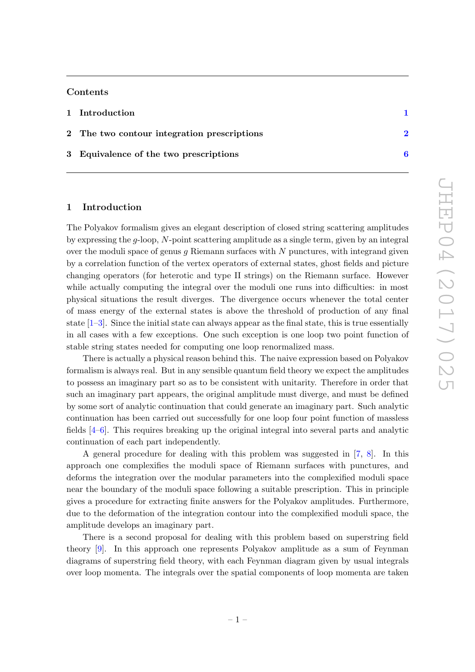## Contents

| 1 Introduction                              |  |
|---------------------------------------------|--|
| 2 The two contour integration prescriptions |  |
| 3 Equivalence of the two prescriptions      |  |

## <span id="page-1-0"></span>1 Introduction

The Polyakov formalism gives an elegant description of closed string scattering amplitudes by expressing the  $q$ -loop, N-point scattering amplitude as a single term, given by an integral over the moduli space of genus  $q$  Riemann surfaces with  $N$  punctures, with integrand given by a correlation function of the vertex operators of external states, ghost fields and picture changing operators (for heterotic and type II strings) on the Riemann surface. However while actually computing the integral over the moduli one runs into difficulties: in most physical situations the result diverges. The divergence occurs whenever the total center of mass energy of the external states is above the threshold of production of any final state  $[1-3]$ . Since the initial state can always appear as the final state, this is true essentially in all cases with a few exceptions. One such exception is one loop two point function of stable string states needed for computing one loop renormalized mass.

There is actually a physical reason behind this. The naive expression based on Polyakov formalism is always real. But in any sensible quantum field theory we expect the amplitudes to possess an imaginary part so as to be consistent with unitarity. Therefore in order that such an imaginary part appears, the original amplitude must diverge, and must be defined by some sort of analytic continuation that could generate an imaginary part. Such analytic continuation has been carried out successfully for one loop four point function of massless fields [\[4](#page-9-2)[–6\]](#page-9-3). This requires breaking up the original integral into several parts and analytic continuation of each part independently.

A general procedure for dealing with this problem was suggested in [\[7,](#page-9-4) [8\]](#page-9-5). In this approach one complexifies the moduli space of Riemann surfaces with punctures, and deforms the integration over the modular parameters into the complexified moduli space near the boundary of the moduli space following a suitable prescription. This in principle gives a procedure for extracting finite answers for the Polyakov amplitudes. Furthermore, due to the deformation of the integration contour into the complexified moduli space, the amplitude develops an imaginary part.

There is a second proposal for dealing with this problem based on superstring field theory [\[9\]](#page-9-6). In this approach one represents Polyakov amplitude as a sum of Feynman diagrams of superstring field theory, with each Feynman diagram given by usual integrals over loop momenta. The integrals over the spatial components of loop momenta are taken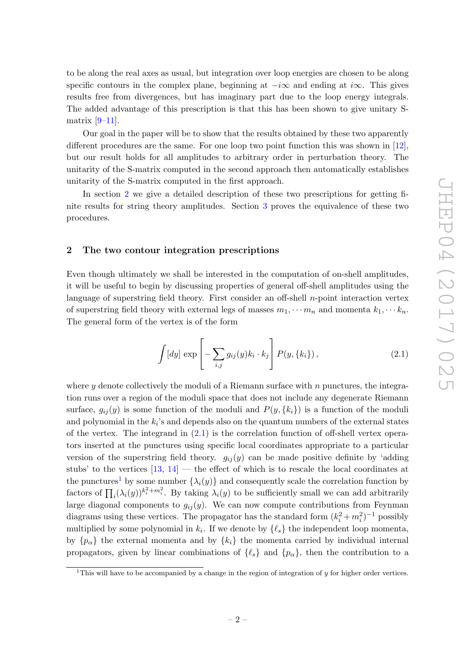to be along the real axes as usual, but integration over loop energies are chosen to be along specific contours in the complex plane, beginning at  $-i\infty$  and ending at  $i\infty$ . This gives results free from divergences, but has imaginary part due to the loop energy integrals. The added advantage of this prescription is that this has been shown to give unitary Smatrix  $[9-11]$ .

Our goal in the paper will be to show that the results obtained by these two apparently different procedures are the same. For one loop two point function this was shown in [\[12\]](#page-9-8), but our result holds for all amplitudes to arbitrary order in perturbation theory. The unitarity of the S-matrix computed in the second approach then automatically establishes unitarity of the S-matrix computed in the first approach.

In section [2](#page-2-0) we give a detailed description of these two prescriptions for getting finite results for string theory amplitudes. Section [3](#page-6-0) proves the equivalence of these two procedures.

#### <span id="page-2-0"></span>2 The two contour integration prescriptions

Even though ultimately we shall be interested in the computation of on-shell amplitudes, it will be useful to begin by discussing properties of general off-shell amplitudes using the language of superstring field theory. First consider an off-shell  $n$ -point interaction vertex of superstring field theory with external legs of masses  $m_1, \dots m_n$  and momenta  $k_1, \dots k_n$ . The general form of the vertex is of the form

<span id="page-2-1"></span>
$$
\int [dy] \exp \left[ -\sum_{i,j} g_{ij}(y) k_i \cdot k_j \right] P(y, \{k_i\}), \qquad (2.1)
$$

where y denote collectively the moduli of a Riemann surface with  $n$  punctures, the integration runs over a region of the moduli space that does not include any degenerate Riemann surface,  $g_{ij}(y)$  is some function of the moduli and  $P(y, \{k_i\})$  is a function of the moduli and polynomial in the  $k_i$ 's and depends also on the quantum numbers of the external states of the vertex. The integrand in [\(2.1\)](#page-2-1) is the correlation function of off-shell vertex operators inserted at the punctures using specific local coordinates appropriate to a particular version of the superstring field theory.  $g_{ij}(y)$  can be made positive definite by 'adding stubs' to the vertices  $[13, 14]$  $[13, 14]$  — the effect of which is to rescale the local coordinates at the punctures<sup>[1](#page-2-2)</sup> by some number  $\{\lambda_i(y)\}\$ and consequently scale the correlation function by factors of  $\prod_i (\lambda_i(y))^{k_i^2 + m_i^2}$ . By taking  $\lambda_i(y)$  to be sufficiently small we can add arbitrarily large diagonal components to  $g_{ij}(y)$ . We can now compute contributions from Feynman diagrams using these vertices. The propagator has the standard form  $(k_i^2 + m_i^2)^{-1}$  possibly multiplied by some polynomial in  $k_i$ . If we denote by  $\{\ell_s\}$  the independent loop momenta, by  $\{p_{\alpha}\}\$  the external momenta and by  $\{k_i\}\$ the momenta carried by individual internal propagators, given by linear combinations of  $\{\ell_s\}$  and  $\{p_\alpha\}$ , then the contribution to a

<span id="page-2-2"></span><sup>&</sup>lt;sup>1</sup>This will have to be accompanied by a change in the region of integration of  $\psi$  for higher order vertices.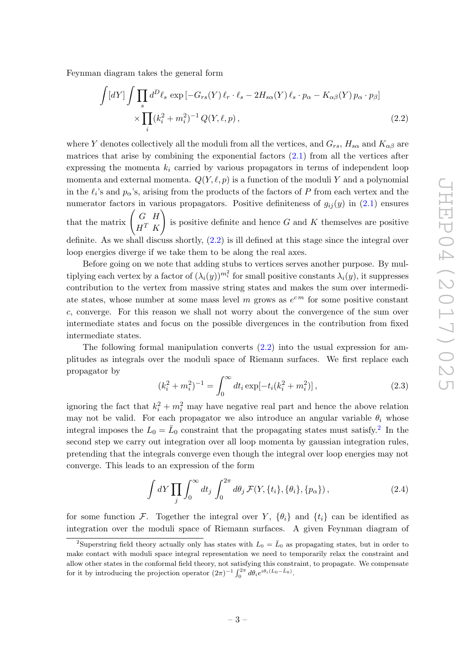Feynman diagram takes the general form

<span id="page-3-0"></span>
$$
\int [dY] \int \prod_{s} d^{D}\ell_{s} \exp \left[ -G_{rs}(Y) \ell_{r} \cdot \ell_{s} - 2H_{s\alpha}(Y) \ell_{s} \cdot p_{\alpha} - K_{\alpha\beta}(Y) p_{\alpha} \cdot p_{\beta} \right] \times \prod_{i} (k_{i}^{2} + m_{i}^{2})^{-1} Q(Y, \ell, p),
$$
\n(2.2)

where Y denotes collectively all the moduli from all the vertices, and  $G_{rs}$ ,  $H_{s\alpha}$  and  $K_{\alpha\beta}$  are matrices that arise by combining the exponential factors  $(2.1)$  from all the vertices after expressing the momenta  $k_i$  carried by various propagators in terms of independent loop momenta and external momenta.  $Q(Y, \ell, p)$  is a function of the moduli Y and a polynomial in the  $\ell_i$ 's and  $p_\alpha$ 's, arising from the products of the factors of P from each vertex and the numerator factors in various propagators. Positive definiteness of  $g_{ij}(y)$  in [\(2.1\)](#page-2-1) ensures that the matrix  $\begin{pmatrix} G & H \\ H & H \end{pmatrix}$  $H^T$  K ! is positive definite and hence  $G$  and  $K$  themselves are positive definite. As we shall discuss shortly,  $(2.2)$  is ill defined at this stage since the integral over loop energies diverge if we take them to be along the real axes.

Before going on we note that adding stubs to vertices serves another purpose. By multiplying each vertex by a factor of  $(\lambda_i(y))^{m_i^2}$  for small positive constants  $\lambda_i(y)$ , it suppresses contribution to the vertex from massive string states and makes the sum over intermediate states, whose number at some mass level m grows as  $e^{cm}$  for some positive constant c, converge. For this reason we shall not worry about the convergence of the sum over intermediate states and focus on the possible divergences in the contribution from fixed intermediate states.

The following formal manipulation converts  $(2.2)$  into the usual expression for amplitudes as integrals over the moduli space of Riemann surfaces. We first replace each propagator by

<span id="page-3-2"></span>
$$
(k_i^2 + m_i^2)^{-1} = \int_0^\infty dt_i \exp[-t_i(k_i^2 + m_i^2)], \qquad (2.3)
$$

ignoring the fact that  $k_i^2 + m_i^2$  may have negative real part and hence the above relation may not be valid. For each propagator we also introduce an angular variable  $\theta_i$  whose integral imposes the  $L_0 = \bar{L}_0$  constraint that the propagating states must satisfy.<sup>[2](#page-3-1)</sup> In the second step we carry out integration over all loop momenta by gaussian integration rules, pretending that the integrals converge even though the integral over loop energies may not converge. This leads to an expression of the form

<span id="page-3-3"></span>
$$
\int dY \prod_{j} \int_0^{\infty} dt_j \int_0^{2\pi} d\theta_j \mathcal{F}(Y, \{t_i\}, \{\theta_i\}, \{p_\alpha\}), \qquad (2.4)
$$

for some function F. Together the integral over Y,  $\{\theta_i\}$  and  $\{t_i\}$  can be identified as integration over the moduli space of Riemann surfaces. A given Feynman diagram of

<span id="page-3-1"></span><sup>&</sup>lt;sup>2</sup>Superstring field theory actually only has states with  $L_0 = \bar{L}_0$  as propagating states, but in order to make contact with moduli space integral representation we need to temporarily relax the constraint and allow other states in the conformal field theory, not satisfying this constraint, to propagate. We compensate for it by introducing the projection operator  $(2\pi)^{-1} \int_0^{2\pi} d\theta_i e^{i\theta_i (L_0 - \bar{L}_0)}$ .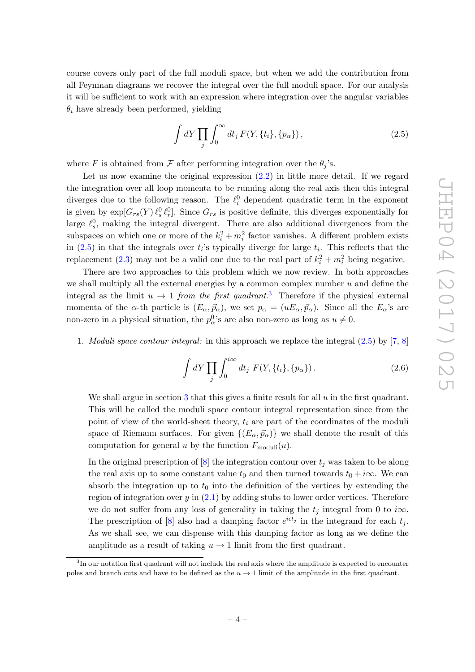course covers only part of the full moduli space, but when we add the contribution from all Feynman diagrams we recover the integral over the full moduli space. For our analysis it will be sufficient to work with an expression where integration over the angular variables  $\theta_i$  have already been performed, yielding

<span id="page-4-0"></span>
$$
\int dY \prod_{j} \int_0^{\infty} dt_j F(Y, \{t_i\}, \{p_{\alpha}\}), \qquad (2.5)
$$

where F is obtained from F after performing integration over the  $\theta_i$ 's.

Let us now examine the original expression [\(2.2\)](#page-3-0) in little more detail. If we regard the integration over all loop momenta to be running along the real axis then this integral diverges due to the following reason. The  $\ell_i^0$  dependent quadratic term in the exponent is given by  $\exp[G_{rs}(Y)\ell_s^0\ell_r^0]$ . Since  $G_{rs}$  is positive definite, this diverges exponentially for large  $\ell_s^0$ , making the integral divergent. There are also additional divergences from the subspaces on which one or more of the  $k_i^2 + m_i^2$  factor vanishes. A different problem exists in  $(2.5)$  in that the integrals over  $t_i$ 's typically diverge for large  $t_i$ . This reflects that the replacement [\(2.3\)](#page-3-2) may not be a valid one due to the real part of  $k_i^2 + m_i^2$  being negative.

There are two approaches to this problem which we now review. In both approaches we shall multiply all the external energies by a common complex number  $u$  and define the integral as the limit  $u \to 1$  from the first quadrant.<sup>[3](#page-4-1)</sup> Therefore if the physical external momenta of the α-th particle is  $(E_{\alpha}, \vec{p}_{\alpha})$ , we set  $p_{\alpha} = (uE_{\alpha}, \vec{p}_{\alpha})$ . Since all the  $E_{\alpha}$ 's are non-zero in a physical situation, the  $p_{\alpha}^{0}$ 's are also non-zero as long as  $u \neq 0$ .

1. Moduli space contour integral: in this approach we replace the integral [\(2.5\)](#page-4-0) by [\[7](#page-9-4), [8\]](#page-9-5)

<span id="page-4-2"></span>
$$
\int dY \prod_{j} \int_0^{i\infty} dt_j \ F(Y, \{t_i\}, \{p_\alpha\}) \ . \tag{2.6}
$$

We shall argue in section [3](#page-6-0) that this gives a finite result for all  $u$  in the first quadrant. This will be called the moduli space contour integral representation since from the point of view of the world-sheet theory,  $t_i$  are part of the coordinates of the moduli space of Riemann surfaces. For given  $\{(E_{\alpha}, \vec{p}_{\alpha})\}$  we shall denote the result of this computation for general u by the function  $F_{\text{moduli}}(u)$ .

In the original prescription of  $[8]$  the integration contour over  $t_j$  was taken to be along the real axis up to some constant value  $t_0$  and then turned towards  $t_0 + i\infty$ . We can absorb the integration up to  $t_0$  into the definition of the vertices by extending the region of integration over  $y$  in  $(2.1)$  by adding stubs to lower order vertices. Therefore we do not suffer from any loss of generality in taking the  $t_j$  integral from 0 to i $\infty$ . The prescription of [\[8\]](#page-9-5) also had a damping factor  $e^{i\epsilon t_j}$  in the integrand for each  $t_j$ . As we shall see, we can dispense with this damping factor as long as we define the amplitude as a result of taking  $u \to 1$  limit from the first quadrant.

<span id="page-4-1"></span><sup>&</sup>lt;sup>3</sup>In our notation first quadrant will not include the real axis where the amplitude is expected to encounter poles and branch cuts and have to be defined as the  $u \to 1$  limit of the amplitude in the first quadrant.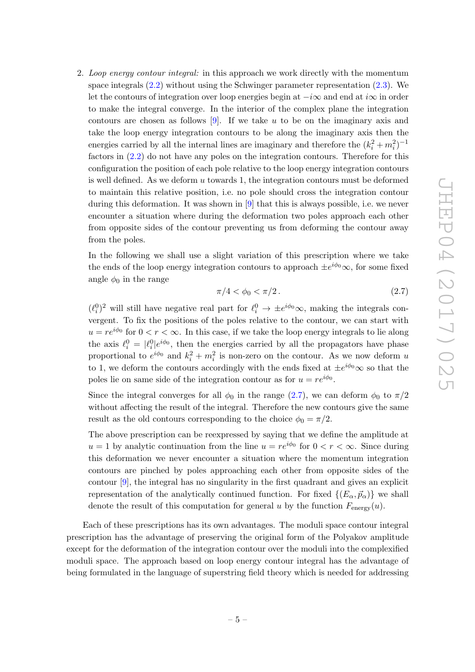2. Loop energy contour integral: in this approach we work directly with the momentum space integrals [\(2.2\)](#page-3-0) without using the Schwinger parameter representation [\(2.3\)](#page-3-2). We let the contours of integration over loop energies begin at  $-i\infty$  and end at  $i\infty$  in order to make the integral converge. In the interior of the complex plane the integration contours are chosen as follows [\[9\]](#page-9-6). If we take u to be on the imaginary axis and take the loop energy integration contours to be along the imaginary axis then the energies carried by all the internal lines are imaginary and therefore the  $(k_i^2 + m_i^2)^{-1}$ factors in [\(2.2\)](#page-3-0) do not have any poles on the integration contours. Therefore for this configuration the position of each pole relative to the loop energy integration contours is well defined. As we deform  $u$  towards 1, the integration contours must be deformed to maintain this relative position, i.e. no pole should cross the integration contour during this deformation. It was shown in [\[9](#page-9-6)] that this is always possible, i.e. we never encounter a situation where during the deformation two poles approach each other from opposite sides of the contour preventing us from deforming the contour away from the poles.

In the following we shall use a slight variation of this prescription where we take the ends of the loop energy integration contours to approach  $\pm e^{i\phi_0}\infty$ , for some fixed angle  $\phi_0$  in the range

<span id="page-5-0"></span>
$$
\pi/4 < \phi_0 < \pi/2. \tag{2.7}
$$

 $(\ell_i^0)^2$  will still have negative real part for  $\ell_i^0 \to \pm e^{i\phi_0} \infty$ , making the integrals convergent. To fix the positions of the poles relative to the contour, we can start with  $u = re^{i\phi_0}$  for  $0 < r < \infty$ . In this case, if we take the loop energy integrals to lie along the axis  $\ell_i^0 = |\ell_i^0|e^{i\phi_0}$ , then the energies carried by all the propagators have phase proportional to  $e^{i\phi_0}$  and  $k_i^2 + m_i^2$  is non-zero on the contour. As we now deform u to 1, we deform the contours accordingly with the ends fixed at  $\pm e^{i\phi_0}\infty$  so that the poles lie on same side of the integration contour as for  $u = re^{i\phi_0}$ .

Since the integral converges for all  $\phi_0$  in the range [\(2.7\)](#page-5-0), we can deform  $\phi_0$  to  $\pi/2$ without affecting the result of the integral. Therefore the new contours give the same result as the old contours corresponding to the choice  $\phi_0 = \pi/2$ .

The above prescription can be reexpressed by saying that we define the amplitude at  $u = 1$  by analytic continuation from the line  $u = re^{i\phi_0}$  for  $0 < r < \infty$ . Since during this deformation we never encounter a situation where the momentum integration contours are pinched by poles approaching each other from opposite sides of the contour [\[9\]](#page-9-6), the integral has no singularity in the first quadrant and gives an explicit representation of the analytically continued function. For fixed  $\{(E_{\alpha}, \vec{p}_{\alpha})\}$  we shall denote the result of this computation for general u by the function  $F_{\text{energy}}(u)$ .

Each of these prescriptions has its own advantages. The moduli space contour integral prescription has the advantage of preserving the original form of the Polyakov amplitude except for the deformation of the integration contour over the moduli into the complexified moduli space. The approach based on loop energy contour integral has the advantage of being formulated in the language of superstring field theory which is needed for addressing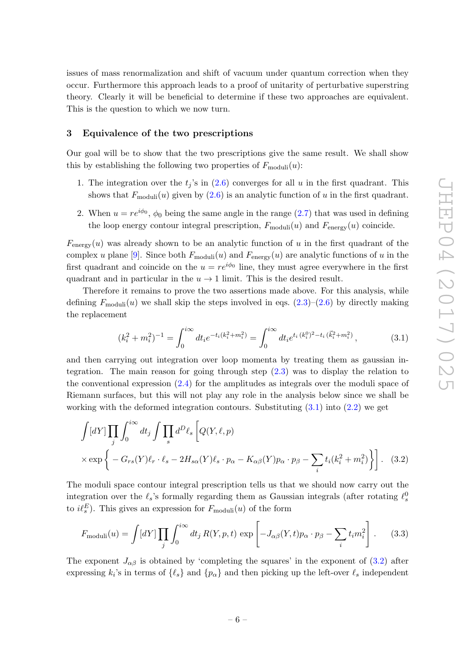issues of mass renormalization and shift of vacuum under quantum correction when they occur. Furthermore this approach leads to a proof of unitarity of perturbative superstring theory. Clearly it will be beneficial to determine if these two approaches are equivalent. This is the question to which we now turn.

#### <span id="page-6-0"></span>3 Equivalence of the two prescriptions

Our goal will be to show that the two prescriptions give the same result. We shall show this by establishing the following two properties of  $F_{\text{moduli}}(u)$ :

- 1. The integration over the  $t_j$ 's in  $(2.6)$  converges for all u in the first quadrant. This shows that  $F_{\text{moduli}}(u)$  given by  $(2.6)$  is an analytic function of u in the first quadrant.
- 2. When  $u = re^{i\phi_0}$ ,  $\phi_0$  being the same angle in the range [\(2.7\)](#page-5-0) that was used in defining the loop energy contour integral prescription,  $F_{\text{moduli}}(u)$  and  $F_{\text{energy}}(u)$  coincide.

 $F_{\text{energy}}(u)$  was already shown to be an analytic function of u in the first quadrant of the complex u plane [\[9](#page-9-6)]. Since both  $F_{\text{moduli}}(u)$  and  $F_{\text{energy}}(u)$  are analytic functions of u in the first quadrant and coincide on the  $u = re^{i\phi_0}$  line, they must agree everywhere in the first quadrant and in particular in the  $u \to 1$  limit. This is the desired result.

Therefore it remains to prove the two assertions made above. For this analysis, while defining  $F_{\text{moduli}}(u)$  we shall skip the steps involved in eqs.  $(2.3)$ – $(2.6)$  by directly making the replacement

<span id="page-6-1"></span>
$$
(k_i^2 + m_i^2)^{-1} = \int_0^{i\infty} dt_i e^{-t_i(k_i^2 + m_i^2)} = \int_0^{i\infty} dt_i e^{t_i(k_i^0)^2 - t_i(\vec{k}_i^2 + m_i^2)}, \qquad (3.1)
$$

and then carrying out integration over loop momenta by treating them as gaussian integration. The main reason for going through step [\(2.3\)](#page-3-2) was to display the relation to the conventional expression [\(2.4\)](#page-3-3) for the amplitudes as integrals over the moduli space of Riemann surfaces, but this will not play any role in the analysis below since we shall be working with the deformed integration contours. Substituting  $(3.1)$  into  $(2.2)$  we get

<span id="page-6-2"></span>
$$
\int [dY] \prod_{j} \int_{0}^{i\infty} dt_{j} \int \prod_{s} d^{D} \ell_{s} \left[ Q(Y, \ell, p) \times \exp \left\{ -G_{rs}(Y)\ell_{r} \cdot \ell_{s} - 2H_{s\alpha}(Y)\ell_{s} \cdot p_{\alpha} - K_{\alpha\beta}(Y)p_{\alpha} \cdot p_{\beta} - \sum_{i} t_{i}(k_{i}^{2} + m_{i}^{2}) \right\} \right].
$$
 (3.2)

The moduli space contour integral prescription tells us that we should now carry out the integration over the  $\ell_s$ 's formally regarding them as Gaussian integrals (after rotating  $\ell_s^0$ to  $i\ell_s^E$ ). This gives an expression for  $F_{\text{moduli}}(u)$  of the form

<span id="page-6-3"></span>
$$
F_{\text{moduli}}(u) = \int [dY] \prod_j \int_0^{i\infty} dt_j R(Y, p, t) \exp\left[ -J_{\alpha\beta}(Y, t) p_\alpha \cdot p_\beta - \sum_i t_i m_i^2 \right]. \tag{3.3}
$$

The exponent  $J_{\alpha\beta}$  is obtained by 'completing the squares' in the exponent of [\(3.2\)](#page-6-2) after expressing  $k_i$ 's in terms of  $\{\ell_s\}$  and  $\{p_\alpha\}$  and then picking up the left-over  $\ell_s$  independent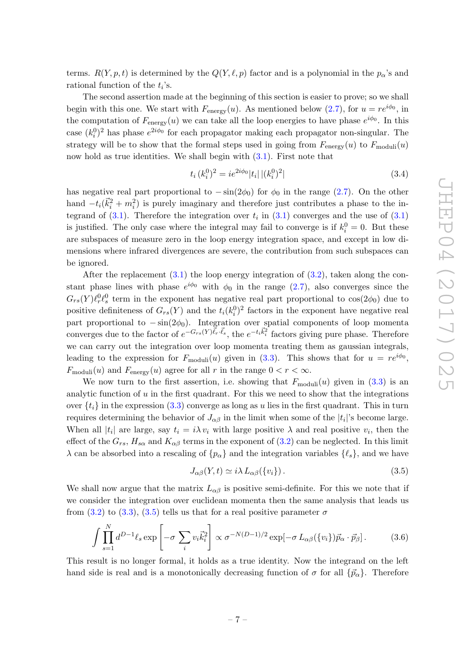terms.  $R(Y, p, t)$  is determined by the  $Q(Y, \ell, p)$  factor and is a polynomial in the  $p_{\alpha}$ 's and rational function of the  $t_i$ 's.

The second assertion made at the beginning of this section is easier to prove; so we shall begin with this one. We start with  $F_{\text{energy}}(u)$ . As mentioned below [\(2.7\)](#page-5-0), for  $u = re^{i\phi_0}$ , in the computation of  $F_{\text{energy}}(u)$  we can take all the loop energies to have phase  $e^{i\phi_0}$ . In this case  $(k_i^0)^2$  has phase  $e^{2i\phi_0}$  for each propagator making each propagator non-singular. The strategy will be to show that the formal steps used in going from  $F_{\text{energy}}(u)$  to  $F_{\text{moduli}}(u)$ now hold as true identities. We shall begin with [\(3.1\)](#page-6-1). First note that

$$
t_i (k_i^0)^2 = i e^{2i\phi_0} |t_i| |(k_i^0)^2|
$$
\n(3.4)

has negative real part proportional to  $-\sin(2\phi_0)$  for  $\phi_0$  in the range [\(2.7\)](#page-5-0). On the other hand  $-t_i(\vec{k}_i^2 + m_i^2)$  is purely imaginary and therefore just contributes a phase to the integrand of  $(3.1)$ . Therefore the integration over  $t_i$  in  $(3.1)$  converges and the use of  $(3.1)$ is justified. The only case where the integral may fail to converge is if  $k_i^0 = 0$ . But these are subspaces of measure zero in the loop energy integration space, and except in low dimensions where infrared divergences are severe, the contribution from such subspaces can be ignored.

After the replacement  $(3.1)$  the loop energy integration of  $(3.2)$ , taken along the constant phase lines with phase  $e^{i\phi_0}$  with  $\phi_0$  in the range [\(2.7\)](#page-5-0), also converges since the  $G_{rs}(Y)\ell_r^0\ell_s^0$  term in the exponent has negative real part proportional to  $\cos(2\phi_0)$  due to positive definiteness of  $G_{rs}(Y)$  and the  $t_i(k_i^0)^2$  factors in the exponent have negative real part proportional to  $-\sin(2\phi_0)$ . Integration over spatial components of loop momenta converges due to the factor of  $e^{-G_{rs}(Y)\vec{\ell}_r \cdot \vec{\ell}_s}$ , the  $e^{-t_i \vec{k}_i^2}$  factors giving pure phase. Therefore we can carry out the integration over loop momenta treating them as gaussian integrals, leading to the expression for  $F_{\text{moduli}}(u)$  given in [\(3.3\)](#page-6-3). This shows that for  $u = re^{i\phi_0}$ ,  $F_{\text{moduli}}(u)$  and  $F_{\text{energy}}(u)$  agree for all r in the range  $0 < r < \infty$ .

We now turn to the first assertion, i.e. showing that  $F_{\text{moduli}}(u)$  given in  $(3.3)$  is an analytic function of  $u$  in the first quadrant. For this we need to show that the integrations over  $\{t_i\}$  in the expression [\(3.3\)](#page-6-3) converge as long as u lies in the first quadrant. This in turn requires determining the behavior of  $J_{\alpha\beta}$  in the limit when some of the  $|t_i|$ 's become large. When all  $|t_i|$  are large, say  $t_i = i\lambda v_i$  with large positive  $\lambda$  and real positive  $v_i$ , then the effect of the  $G_{rs}$ ,  $H_{s\alpha}$  and  $K_{\alpha\beta}$  terms in the exponent of [\(3.2\)](#page-6-2) can be neglected. In this limit  $\lambda$  can be absorbed into a rescaling of  $\{p_{\alpha}\}\$  and the integration variables  $\{\ell_{s}\}\$ , and we have

<span id="page-7-0"></span>
$$
J_{\alpha\beta}(Y,t) \simeq i\lambda L_{\alpha\beta}(\{v_i\}).\tag{3.5}
$$

We shall now argue that the matrix  $L_{\alpha\beta}$  is positive semi-definite. For this we note that if we consider the integration over euclidean momenta then the same analysis that leads us from [\(3.2\)](#page-6-2) to [\(3.3\)](#page-6-3), [\(3.5\)](#page-7-0) tells us that for a real positive parameter  $\sigma$ 

$$
\int \prod_{s=1}^{N} d^{D-1} \ell_s \exp \left[ -\sigma \sum_i v_i \vec{k}_i^2 \right] \propto \sigma^{-N(D-1)/2} \exp[-\sigma L_{\alpha\beta}(\{v_i\}) \vec{p}_\alpha \cdot \vec{p}_\beta]. \tag{3.6}
$$

This result is no longer formal, it holds as a true identity. Now the integrand on the left hand side is real and is a monotonically decreasing function of  $\sigma$  for all  $\{\vec{p}_{\alpha}\}\)$ . Therefore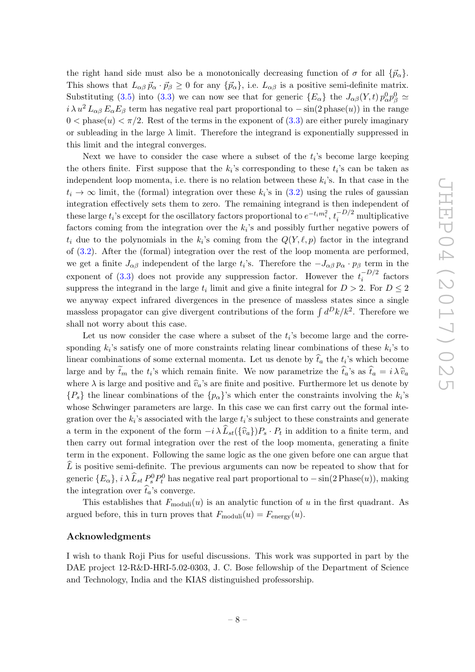the right hand side must also be a monotonically decreasing function of  $\sigma$  for all  $\{\vec{p}_{\alpha}\}.$ This shows that  $L_{\alpha\beta} \vec{p}_{\alpha} \cdot \vec{p}_{\beta} \geq 0$  for any  $\{\vec{p}_{\alpha}\}\)$ , i.e.  $L_{\alpha\beta}$  is a positive semi-definite matrix. Substituting [\(3.5\)](#page-7-0) into [\(3.3\)](#page-6-3) we can now see that for generic  $\{E_{\alpha}\}\$  the  $J_{\alpha\beta}(Y,t) p_{\alpha}^0 p_{\beta}^0 \simeq$  $i \lambda u^2 L_{\alpha\beta} E_{\alpha} E_{\beta}$  term has negative real part proportional to  $-\sin(2)$  phase $(u)$ ) in the range  $0 <$  phase $(u) < \pi/2$ . Rest of the terms in the exponent of  $(3.3)$  are either purely imaginary or subleading in the large  $\lambda$  limit. Therefore the integrand is exponentially suppressed in this limit and the integral converges.

Next we have to consider the case where a subset of the  $t_i$ 's become large keeping the others finite. First suppose that the  $k_i$ 's corresponding to these  $t_i$ 's can be taken as independent loop momenta, i.e. there is no relation between these  $k_i$ 's. In that case in the  $t_i \to \infty$  limit, the (formal) integration over these  $k_i$ 's in  $(3.2)$  using the rules of gaussian integration effectively sets them to zero. The remaining integrand is then independent of these large  $t_i$ 's except for the oscillatory factors proportional to  $e^{-t_i m_i^2}$ ,  $t_i^{-D/2}$  multiplicative factors coming from the integration over the  $k_i$ 's and possibly further negative powers of  $t_i$  due to the polynomials in the  $k_i$ 's coming from the  $Q(Y, \ell, p)$  factor in the integrand of [\(3.2\)](#page-6-2). After the (formal) integration over the rest of the loop momenta are performed, we get a finite  $J_{\alpha\beta}$  independent of the large  $t_i$ 's. Therefore the  $-J_{\alpha\beta} p_\alpha \cdot p_\beta$  term in the exponent of [\(3.3\)](#page-6-3) does not provide any suppression factor. However the  $t_i^{-D/2}$  $i^{\text{D}/2}$  factors suppress the integrand in the large  $t_i$  limit and give a finite integral for  $D > 2$ . For  $D \leq 2$ we anyway expect infrared divergences in the presence of massless states since a single massless propagator can give divergent contributions of the form  $\int d^D k/k^2$ . Therefore we shall not worry about this case.

Let us now consider the case where a subset of the  $t_i$ 's become large and the corresponding  $k_i$ 's satisfy one of more constraints relating linear combinations of these  $k_i$ 's to linear combinations of some external momenta. Let us denote by  $t_a$  the  $t_i$ 's which become large and by  $t_m$  the  $t_i$ 's which remain finite. We now parametrize the  $t_a$ 's as  $t_a = i \lambda \hat{v}_a$ where  $\lambda$  is large and positive and  $\hat{v}_a$ 's are finite and positive. Furthermore let us denote by  $\{P_s\}$  the linear combinations of the  $\{p_\alpha\}$ 's which enter the constraints involving the  $k_i$ 's whose Schwinger parameters are large. In this case we can first carry out the formal integration over the  $k_i$ 's associated with the large  $t_i$ 's subject to these constraints and generate a term in the exponent of the form  $-i \lambda L_{st}({\hat{v}_a})P_s \cdot P_t$  in addition to a finite term, and then carry out formal integration over the rest of the loop momenta, generating a finite term in the exponent. Following the same logic as the one given before one can argue that  $\widehat{L}$  is positive semi-definite. The previous arguments can now be repeated to show that for generic  $\{E_\alpha\}$ ,  $i\lambda \hat{L}_{st} P_s^0 P_t^0$  has negative real part proportional to  $-\sin(2\text{Phase}(u))$ , making the integration over  $t_a$ 's converge.

This establishes that  $F_{\text{moduli}}(u)$  is an analytic function of u in the first quadrant. As argued before, this in turn proves that  $F_{\text{moduli}}(u) = F_{\text{energy}}(u)$ .

### Acknowledgments

I wish to thank Roji Pius for useful discussions. This work was supported in part by the DAE project 12-R&D-HRI-5.02-0303, J. C. Bose fellowship of the Department of Science and Technology, India and the KIAS distinguished professorship.